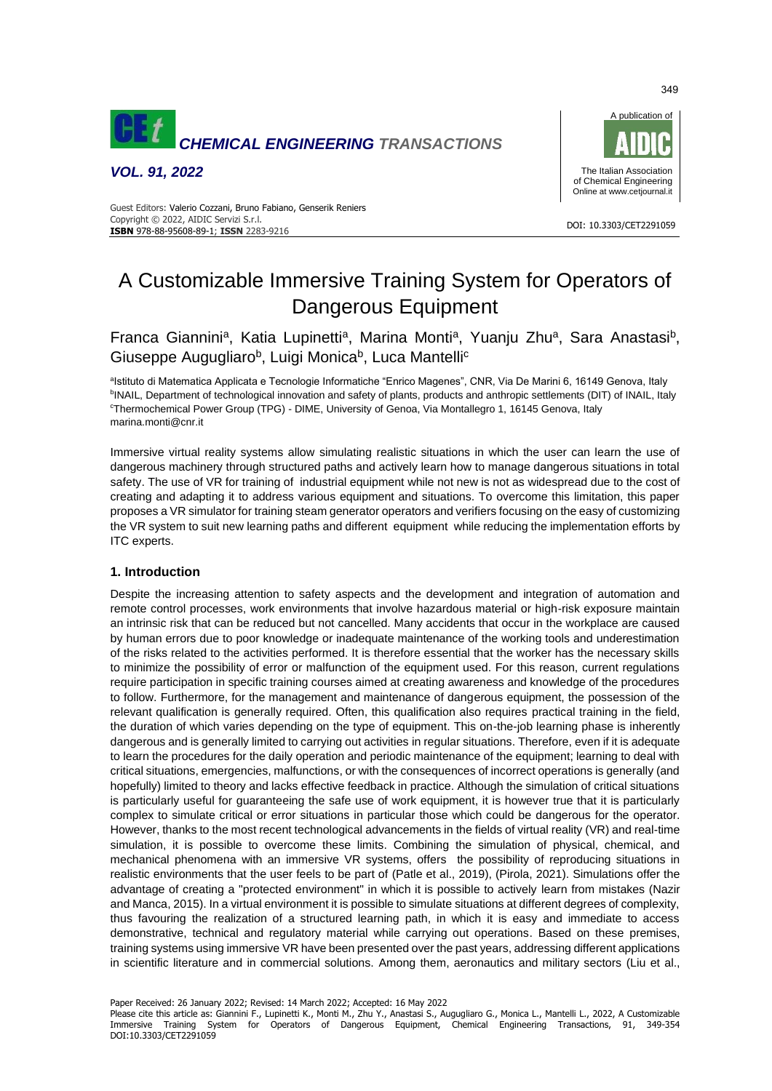

*VOL. 91, 2022*



#### DOI: 10.3303/CET2291059 **ISBN** 978-88-95608-89-1; **ISSN** 2283-9216 Guest Editors: Valerio Cozzani, Bruno Fabiano, Genserik Reniers Copyright © 2022, AIDIC Servizi S.r.l.

# A Customizable Immersive Training System for Operators of Dangerous Equipment

Franca Giannini<sup>a</sup>, Katia Lupinetti<sup>a</sup>, Marina Monti<sup>a</sup>, Yuanju Zhu<sup>a</sup>, Sara Anastasi<sup>b</sup>, Giuseppe Augugliaro<sup>b</sup>, Luigi Monica<sup>b</sup>, Luca Mantelli<sup>c</sup>

<sup>a</sup>lstituto di Matematica Applicata e Tecnologie Informatiche "Enrico Magenes", CNR, Via De Marini 6, 16149 Genova, Italy <sup>b</sup>INAIL, Department of technological innovation and safety of plants, products and anthropic settlements (DIT) of INAIL, Italy <sup>c</sup>Thermochemical Power Group (TPG) - DIME, University of Genoa, Via Montallegro 1, 16145 Genova, Italy marina.monti@cnr.it

Immersive virtual reality systems allow simulating realistic situations in which the user can learn the use of dangerous machinery through structured paths and actively learn how to manage dangerous situations in total safety. The use of VR for training of industrial equipment while not new is not as widespread due to the cost of creating and adapting it to address various equipment and situations. To overcome this limitation, this paper proposes a VR simulator for training steam generator operators and verifiers focusing on the easy of customizing the VR system to suit new learning paths and different equipment while reducing the implementation efforts by ITC experts.

# **1. Introduction**

Despite the increasing attention to safety aspects and the development and integration of automation and remote control processes, work environments that involve hazardous material or high-risk exposure maintain an intrinsic risk that can be reduced but not cancelled. Many accidents that occur in the workplace are caused by human errors due to poor knowledge or inadequate maintenance of the working tools and underestimation of the risks related to the activities performed. It is therefore essential that the worker has the necessary skills to minimize the possibility of error or malfunction of the equipment used. For this reason, current regulations require participation in specific training courses aimed at creating awareness and knowledge of the procedures to follow. Furthermore, for the management and maintenance of dangerous equipment, the possession of the relevant qualification is generally required. Often, this qualification also requires practical training in the field, the duration of which varies depending on the type of equipment. This on-the-job learning phase is inherently dangerous and is generally limited to carrying out activities in regular situations. Therefore, even if it is adequate to learn the procedures for the daily operation and periodic maintenance of the equipment; learning to deal with critical situations, emergencies, malfunctions, or with the consequences of incorrect operations is generally (and hopefully) limited to theory and lacks effective feedback in practice. Although the simulation of critical situations is particularly useful for guaranteeing the safe use of work equipment, it is however true that it is particularly complex to simulate critical or error situations in particular those which could be dangerous for the operator. However, thanks to the most recent technological advancements in the fields of virtual reality (VR) and real-time simulation, it is possible to overcome these limits. Combining the simulation of physical, chemical, and mechanical phenomena with an immersive VR systems, offers the possibility of reproducing situations in realistic environments that the user feels to be part of (Patle et al., 2019), (Pirola, 2021). Simulations offer the advantage of creating a "protected environment" in which it is possible to actively learn from mistakes (Nazir and Manca, 2015). In a virtual environment it is possible to simulate situations at different degrees of complexity, thus favouring the realization of a structured learning path, in which it is easy and immediate to access demonstrative, technical and regulatory material while carrying out operations. Based on these premises, training systems using immersive VR have been presented over the past years, addressing different applications in scientific literature and in commercial solutions. Among them, aeronautics and military sectors (Liu et al.,

Paper Received: 26 January 2022; Revised: 14 March 2022; Accepted: 16 May 2022

Please cite this article as: Giannini F., Lupinetti K., Monti M., Zhu Y., Anastasi S., Augugliaro G., Monica L., Mantelli L., 2022, A Customizable Immersive Training System for Operators of Dangerous Equipment, Chemical Engineering Transactions, 91, 349-354 DOI:10.3303/CET2291059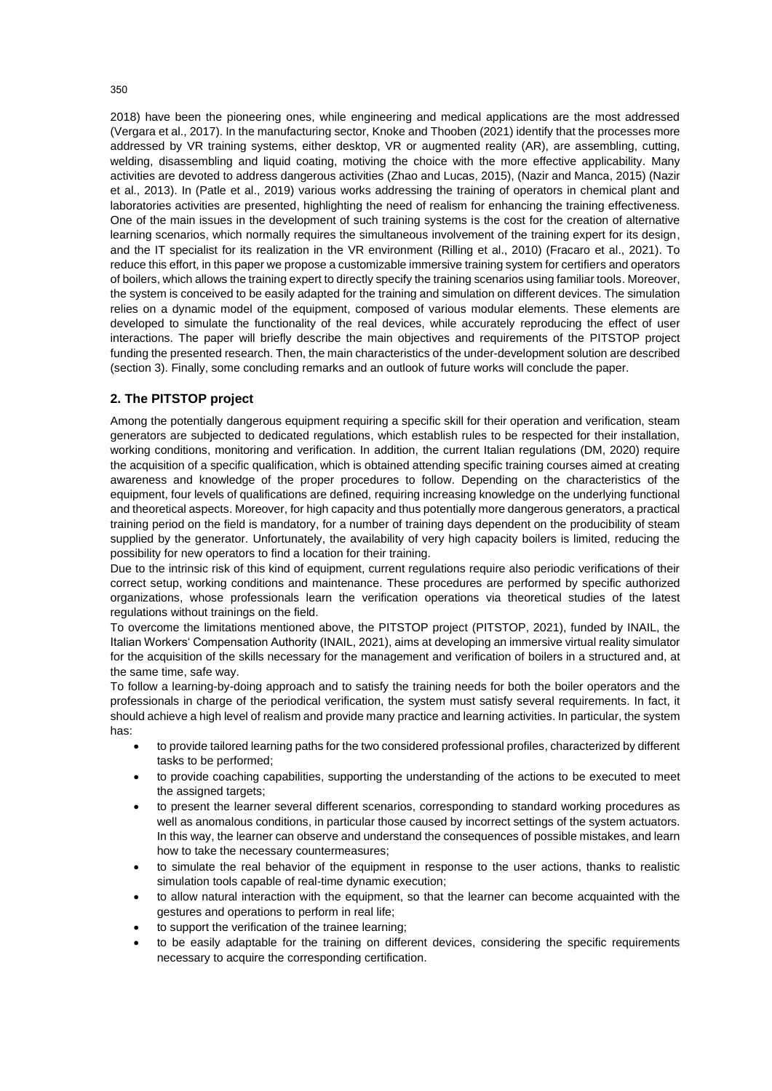2018) have been the pioneering ones, while engineering and medical applications are the most addressed (Vergara et al., 2017). In the manufacturing sector, Knoke and Thooben (2021) identify that the processes more addressed by VR training systems, either desktop, VR or augmented reality (AR), are assembling, cutting, welding, disassembling and liquid coating, motiving the choice with the more effective applicability. Many activities are devoted to address dangerous activities (Zhao and Lucas, 2015), (Nazir and Manca, 2015) (Nazir et al., 2013). In (Patle et al., 2019) various works addressing the training of operators in chemical plant and laboratories activities are presented, highlighting the need of realism for enhancing the training effectiveness. One of the main issues in the development of such training systems is the cost for the creation of alternative learning scenarios, which normally requires the simultaneous involvement of the training expert for its design, and the IT specialist for its realization in the VR environment (Rilling et al., 2010) (Fracaro et al., 2021). To reduce this effort, in this paper we propose a customizable immersive training system for certifiers and operators of boilers, which allows the training expert to directly specify the training scenarios using familiar tools. Moreover, the system is conceived to be easily adapted for the training and simulation on different devices. The simulation relies on a dynamic model of the equipment, composed of various modular elements. These elements are developed to simulate the functionality of the real devices, while accurately reproducing the effect of user interactions. The paper will briefly describe the main objectives and requirements of the PITSTOP project funding the presented research. Then, the main characteristics of the under-development solution are described (section 3). Finally, some concluding remarks and an outlook of future works will conclude the paper.

## **2. The PITSTOP project**

Among the potentially dangerous equipment requiring a specific skill for their operation and verification, steam generators are subjected to dedicated regulations, which establish rules to be respected for their installation, working conditions, monitoring and verification. In addition, the current Italian regulations (DM, 2020) require the acquisition of a specific qualification, which is obtained attending specific training courses aimed at creating awareness and knowledge of the proper procedures to follow. Depending on the characteristics of the equipment, four levels of qualifications are defined, requiring increasing knowledge on the underlying functional and theoretical aspects. Moreover, for high capacity and thus potentially more dangerous generators, a practical training period on the field is mandatory, for a number of training days dependent on the producibility of steam supplied by the generator. Unfortunately, the availability of very high capacity boilers is limited, reducing the possibility for new operators to find a location for their training.

Due to the intrinsic risk of this kind of equipment, current regulations require also periodic verifications of their correct setup, working conditions and maintenance. These procedures are performed by specific authorized organizations, whose professionals learn the verification operations via theoretical studies of the latest regulations without trainings on the field.

To overcome the limitations mentioned above, the PITSTOP project (PITSTOP, 2021), funded by INAIL, the Italian Workers' Compensation Authority (INAIL, 2021), aims at developing an immersive virtual reality simulator for the acquisition of the skills necessary for the management and verification of boilers in a structured and, at the same time, safe way.

To follow a learning-by-doing approach and to satisfy the training needs for both the boiler operators and the professionals in charge of the periodical verification, the system must satisfy several requirements. In fact, it should achieve a high level of realism and provide many practice and learning activities. In particular, the system has:

- to provide tailored learning paths for the two considered professional profiles, characterized by different tasks to be performed;
- to provide coaching capabilities, supporting the understanding of the actions to be executed to meet the assigned targets;
- to present the learner several different scenarios, corresponding to standard working procedures as well as anomalous conditions, in particular those caused by incorrect settings of the system actuators. In this way, the learner can observe and understand the consequences of possible mistakes, and learn how to take the necessary countermeasures;
- to simulate the real behavior of the equipment in response to the user actions, thanks to realistic simulation tools capable of real-time dynamic execution;
- to allow natural interaction with the equipment, so that the learner can become acquainted with the gestures and operations to perform in real life;
- to support the verification of the trainee learning;
- to be easily adaptable for the training on different devices, considering the specific requirements necessary to acquire the corresponding certification.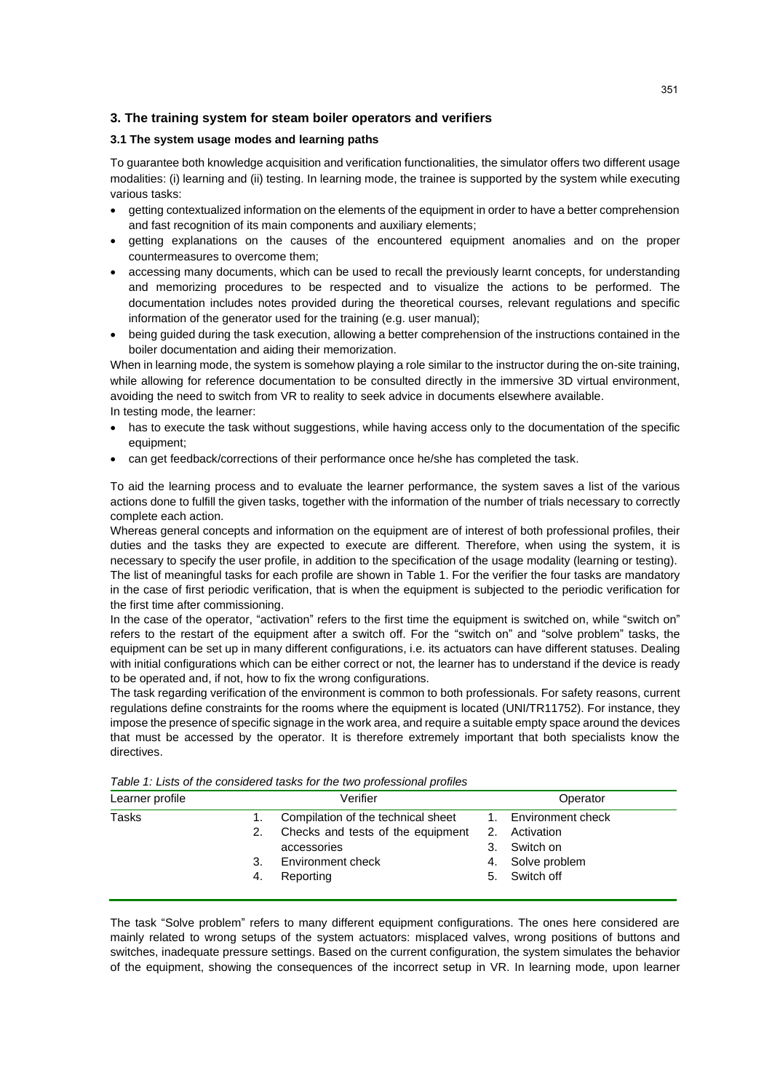# **3. The training system for steam boiler operators and verifiers**

### **3.1 The system usage modes and learning paths**

To guarantee both knowledge acquisition and verification functionalities, the simulator offers two different usage modalities: (i) learning and (ii) testing. In learning mode, the trainee is supported by the system while executing various tasks:

- getting contextualized information on the elements of the equipment in order to have a better comprehension and fast recognition of its main components and auxiliary elements;
- getting explanations on the causes of the encountered equipment anomalies and on the proper countermeasures to overcome them;
- accessing many documents, which can be used to recall the previously learnt concepts, for understanding and memorizing procedures to be respected and to visualize the actions to be performed. The documentation includes notes provided during the theoretical courses, relevant regulations and specific information of the generator used for the training (e.g. user manual);
- being guided during the task execution, allowing a better comprehension of the instructions contained in the boiler documentation and aiding their memorization.

When in learning mode, the system is somehow playing a role similar to the instructor during the on-site training, while allowing for reference documentation to be consulted directly in the immersive 3D virtual environment, avoiding the need to switch from VR to reality to seek advice in documents elsewhere available. In testing mode, the learner:

- has to execute the task without suggestions, while having access only to the documentation of the specific equipment;
- can get feedback/corrections of their performance once he/she has completed the task.

To aid the learning process and to evaluate the learner performance, the system saves a list of the various actions done to fulfill the given tasks, together with the information of the number of trials necessary to correctly complete each action.

Whereas general concepts and information on the equipment are of interest of both professional profiles, their duties and the tasks they are expected to execute are different. Therefore, when using the system, it is necessary to specify the user profile, in addition to the specification of the usage modality (learning or testing). The list of meaningful tasks for each profile are shown in Table 1. For the verifier the four tasks are mandatory in the case of first periodic verification, that is when the equipment is subjected to the periodic verification for the first time after commissioning.

In the case of the operator, "activation" refers to the first time the equipment is switched on, while "switch on" refers to the restart of the equipment after a switch off. For the "switch on" and "solve problem" tasks, the equipment can be set up in many different configurations, i.e. its actuators can have different statuses. Dealing with initial configurations which can be either correct or not, the learner has to understand if the device is ready to be operated and, if not, how to fix the wrong configurations.

The task regarding verification of the environment is common to both professionals. For safety reasons, current regulations define constraints for the rooms where the equipment is located (UNI/TR11752). For instance, they impose the presence of specific signage in the work area, and require a suitable empty space around the devices that must be accessed by the operator. It is therefore extremely important that both specialists know the directives.

|    | Verifier                           |    | Operator          |
|----|------------------------------------|----|-------------------|
|    | Compilation of the technical sheet | 1. | Environment check |
| 2. | Checks and tests of the equipment  | 2. | Activation        |
|    | accessories                        | 3. | Switch on         |
| 3. | Environment check                  | 4. | Solve problem     |
| 4. | Reporting                          |    | 5. Switch off     |
|    |                                    |    |                   |

*Table 1: Lists of the considered tasks for the two professional profiles*

The task "Solve problem" refers to many different equipment configurations. The ones here considered are mainly related to wrong setups of the system actuators: misplaced valves, wrong positions of buttons and switches, inadequate pressure settings. Based on the current configuration, the system simulates the behavior of the equipment, showing the consequences of the incorrect setup in VR. In learning mode, upon learner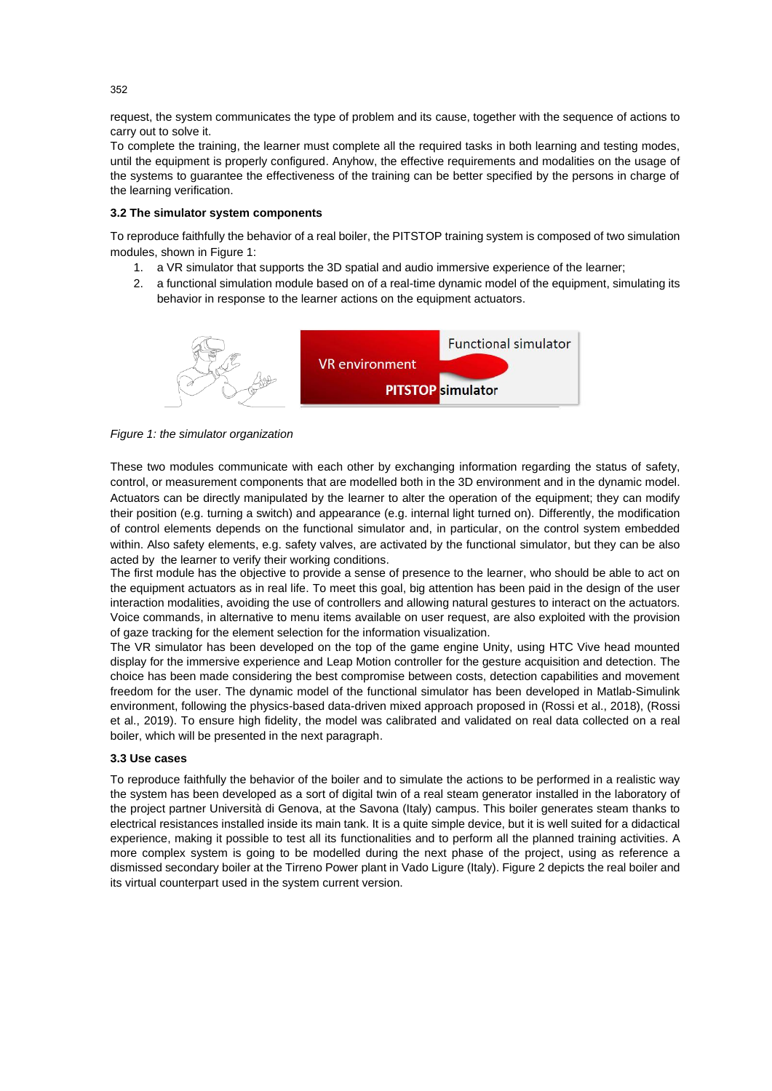request, the system communicates the type of problem and its cause, together with the sequence of actions to carry out to solve it.

To complete the training, the learner must complete all the required tasks in both learning and testing modes, until the equipment is properly configured. Anyhow, the effective requirements and modalities on the usage of the systems to guarantee the effectiveness of the training can be better specified by the persons in charge of the learning verification.

### **3.2 The simulator system components**

To reproduce faithfully the behavior of a real boiler, the PITSTOP training system is composed of two simulation modules, shown in [Figure 1:](#page-3-0)

- 1. a VR simulator that supports the 3D spatial and audio immersive experience of the learner;
- 2. a functional simulation module based on of a real-time dynamic model of the equipment, simulating its behavior in response to the learner actions on the equipment actuators.



<span id="page-3-0"></span>

These two modules communicate with each other by exchanging information regarding the status of safety, control, or measurement components that are modelled both in the 3D environment and in the dynamic model. Actuators can be directly manipulated by the learner to alter the operation of the equipment; they can modify their position (e.g. turning a switch) and appearance (e.g. internal light turned on). Differently, the modification of control elements depends on the functional simulator and, in particular, on the control system embedded within. Also safety elements, e.g. safety valves, are activated by the functional simulator, but they can be also acted by the learner to verify their working conditions.

The first module has the objective to provide a sense of presence to the learner, who should be able to act on the equipment actuators as in real life. To meet this goal, big attention has been paid in the design of the user interaction modalities, avoiding the use of controllers and allowing natural gestures to interact on the actuators. Voice commands, in alternative to menu items available on user request, are also exploited with the provision of gaze tracking for the element selection for the information visualization.

The VR simulator has been developed on the top of the game engine Unity, using HTC Vive head mounted display for the immersive experience and Leap Motion controller for the gesture acquisition and detection. The choice has been made considering the best compromise between costs, detection capabilities and movement freedom for the user. The dynamic model of the functional simulator has been developed in Matlab-Simulink environment, following the physics-based data-driven mixed approach proposed in (Rossi et al., 2018), (Rossi et al., 2019). To ensure high fidelity, the model was calibrated and validated on real data collected on a real boiler, which will be presented in the next paragraph.

#### **3.3 Use cases**

To reproduce faithfully the behavior of the boiler and to simulate the actions to be performed in a realistic way the system has been developed as a sort of digital twin of a real steam generator installed in the laboratory of the project partner Università di Genova, at the Savona (Italy) campus. This boiler generates steam thanks to electrical resistances installed inside its main tank. It is a quite simple device, but it is well suited for a didactical experience, making it possible to test all its functionalities and to perform all the planned training activities. A more complex system is going to be modelled during the next phase of the project, using as reference a dismissed secondary boiler at the Tirreno Power plant in Vado Ligure (Italy). [Figure 2](#page-4-0) depicts the real boiler and its virtual counterpart used in the system current version.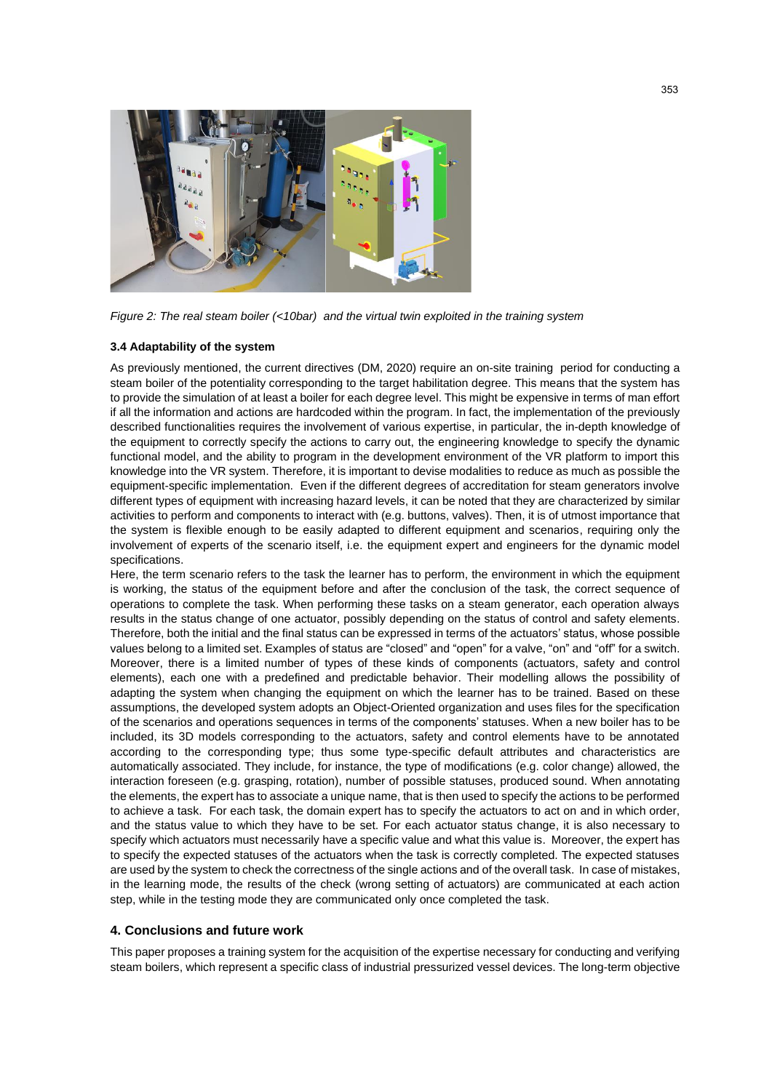

*Figure 2: The real steam boiler (<10bar) and the virtual twin exploited in the training system* 

#### <span id="page-4-0"></span>**3.4 Adaptability of the system**

As previously mentioned, the current directives (DM, 2020) require an on-site training period for conducting a steam boiler of the potentiality corresponding to the target habilitation degree. This means that the system has to provide the simulation of at least a boiler for each degree level. This might be expensive in terms of man effort if all the information and actions are hardcoded within the program. In fact, the implementation of the previously described functionalities requires the involvement of various expertise, in particular, the in-depth knowledge of the equipment to correctly specify the actions to carry out, the engineering knowledge to specify the dynamic functional model, and the ability to program in the development environment of the VR platform to import this knowledge into the VR system. Therefore, it is important to devise modalities to reduce as much as possible the equipment-specific implementation. Even if the different degrees of accreditation for steam generators involve different types of equipment with increasing hazard levels, it can be noted that they are characterized by similar activities to perform and components to interact with (e.g. buttons, valves). Then, it is of utmost importance that the system is flexible enough to be easily adapted to different equipment and scenarios, requiring only the involvement of experts of the scenario itself, i.e. the equipment expert and engineers for the dynamic model specifications.

Here, the term scenario refers to the task the learner has to perform, the environment in which the equipment is working, the status of the equipment before and after the conclusion of the task, the correct sequence of operations to complete the task. When performing these tasks on a steam generator, each operation always results in the status change of one actuator, possibly depending on the status of control and safety elements. Therefore, both the initial and the final status can be expressed in terms of the actuators' status, whose possible values belong to a limited set. Examples of status are "closed" and "open" for a valve, "on" and "off" for a switch. Moreover, there is a limited number of types of these kinds of components (actuators, safety and control elements), each one with a predefined and predictable behavior. Their modelling allows the possibility of adapting the system when changing the equipment on which the learner has to be trained. Based on these assumptions, the developed system adopts an Object-Oriented organization and uses files for the specification of the scenarios and operations sequences in terms of the components' statuses. When a new boiler has to be included, its 3D models corresponding to the actuators, safety and control elements have to be annotated according to the corresponding type; thus some type-specific default attributes and characteristics are automatically associated. They include, for instance, the type of modifications (e.g. color change) allowed, the interaction foreseen (e.g. grasping, rotation), number of possible statuses, produced sound. When annotating the elements, the expert has to associate a unique name, that is then used to specify the actions to be performed to achieve a task. For each task, the domain expert has to specify the actuators to act on and in which order, and the status value to which they have to be set. For each actuator status change, it is also necessary to specify which actuators must necessarily have a specific value and what this value is. Moreover, the expert has to specify the expected statuses of the actuators when the task is correctly completed. The expected statuses are used by the system to check the correctness of the single actions and of the overall task. In case of mistakes, in the learning mode, the results of the check (wrong setting of actuators) are communicated at each action step, while in the testing mode they are communicated only once completed the task.

#### **4. Conclusions and future work**

This paper proposes a training system for the acquisition of the expertise necessary for conducting and verifying steam boilers, which represent a specific class of industrial pressurized vessel devices. The long-term objective